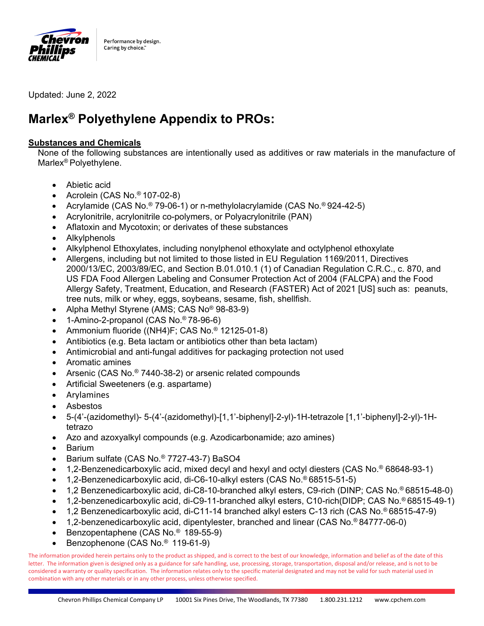

Updated: June 2, 2022

# **Marlex® Polyethylene Appendix to PROs:**

# **Substances and Chemicals**

None of the following substances are intentionally used as additives or raw materials in the manufacture of Marlex® Polyethylene.

- Abietic acid
- Acrolein (CAS No.<sup>®</sup> 107-02-8)
- Acrylamide (CAS No.® 79-06-1) or n-methylolacrylamide (CAS No.® 924-42-5)
- Acrylonitrile, acrylonitrile co-polymers, or Polyacrylonitrile (PAN)
- Aflatoxin and Mycotoxin; or derivates of these substances
- Alkylphenols
- Alkylphenol Ethoxylates, including nonylphenol ethoxylate and octylphenol ethoxylate
- Allergens, including but not limited to those listed in EU Regulation 1169/2011, Directives 2000/13/EC, 2003/89/EC, and Section B.01.010.1 (1) of Canadian Regulation C.R.C., c. 870, and US FDA Food Allergen Labeling and Consumer Protection Act of 2004 (FALCPA) and the Food Allergy Safety, Treatment, Education, and Research (FASTER) Act of 2021 [US] such as: peanuts, tree nuts, milk or whey, eggs, soybeans, sesame, fish, shellfish.
- Alpha Methyl Styrene (AMS; CAS No® 98-83-9)
- 1-Amino-2-propanol (CAS No.® 78-96-6)
- Ammonium fluoride ((NH4)F; CAS No.® 12125-01-8)
- Antibiotics (e.g. Beta lactam or antibiotics other than beta lactam)
- Antimicrobial and anti-fungal additives for packaging protection not used
- Aromatic amines
- Arsenic (CAS No.® 7440-38-2) or arsenic related compounds
- Artificial Sweeteners (e.g. aspartame)
- Arylamines
- Asbestos
- 5-(4'-(azidomethyl)- 5-(4'-(azidomethyl)-[1,1'-biphenyl]-2-yl)-1H-tetrazole [1,1'-biphenyl]-2-yl)-1Htetrazo
- Azo and azoxyalkyl compounds (e.g. Azodicarbonamide; azo amines)
- Barium
- Barium sulfate (CAS No.® 7727-43-7) BaSO4
- 1,2-Benzenedicarboxylic acid, mixed decyl and hexyl and octyl diesters (CAS No.® 68648-93-1)
- 1,2-Benzenedicarboxylic acid, di-C6-10-alkyl esters (CAS No.® 68515-51-5)
- 1,2 Benzenedicarboxylic acid, di-C8-10-branched alkyl esters, C9-rich (DINP; CAS No.® 68515-48-0)
- 1,2-benzenedicarboxylic acid, di-C9-11-branched alkyl esters, C10-rich(DIDP; CAS No.® 68515-49-1)
- 1,2 Benzenedicarboxylic acid, di-C11-14 branched alkyl esters C-13 rich (CAS No.® 68515-47-9)
- 1,2-benzenedicarboxylic acid, dipentylester, branched and linear (CAS No.® 84777-06-0)
- Benzopentaphene (CAS No.® 189-55-9)
- Benzophenone (CAS No.® 119-61-9)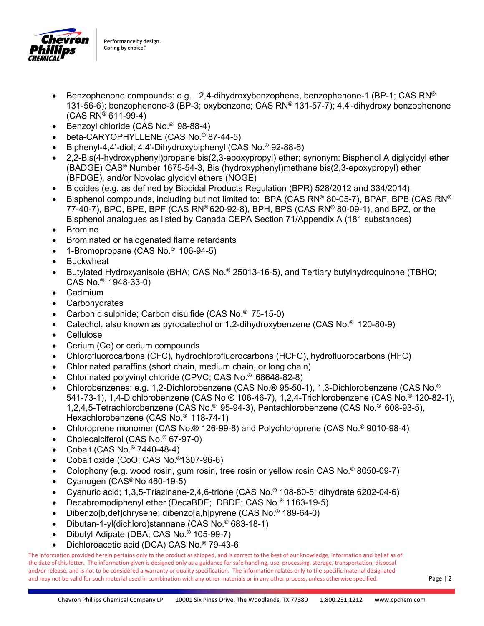

- Benzophenone compounds: e.g.  $2,4$ -dihydroxybenzophene, benzophenone-1 (BP-1; CAS RN®) 131-56-6); benzophenone-3 (BP-3; oxybenzone; CAS RN® 131-57-7); 4,4'-dihydroxy benzophenone (CAS RN® 611-99-4)
- **Benzoyl chloride (CAS No.<sup>®</sup> 98-88-4)**
- beta-CARYOPHYLLENE (CAS No.® 87-44-5)
- Biphenyl-4,4'-diol; 4,4'-Dihydroxybiphenyl (CAS No.® 92-88-6)
- 2,2-Bis(4-hydroxyphenyl)propane bis(2,3-epoxypropyl) ether; synonym: Bisphenol A diglycidyl ether (BADGE) CAS® Number 1675-54-3, Bis (hydroxyphenyl)methane bis(2,3-epoxypropyl) ether (BFDGE), and/or Novolac glycidyl ethers (NOGE)
- Biocides (e.g. as defined by Biocidal Products Regulation (BPR) 528/2012 and 334/2014).
- Bisphenol compounds, including but not limited to: BPA (CAS RN® 80-05-7), BPAF, BPB (CAS RN® 77-40-7), BPC, BPE, BPF (CAS RN® 620-92-8), BPH, BPS (CAS RN® 80-09-1), and BPZ, or the Bisphenol analogues as listed by Canada CEPA Section 71/Appendix A (181 substances)
- Bromine
- Brominated or halogenated flame retardants
- 1-Bromopropane (CAS No.® 106-94-5)
- **Buckwheat**
- Butylated Hydroxyanisole (BHA; CAS No.® 25013-16-5), and Tertiary butylhydroquinone (TBHQ; CAS No.® 1948-33-0)
- Cadmium
- **Carbohydrates**
- Carbon disulphide; Carbon disulfide (CAS No.® 75-15-0)
- Catechol, also known as pyrocatechol or 1,2-dihydroxybenzene (CAS No.® 120-80-9)
- **Cellulose**
- Cerium (Ce) or cerium compounds
- Chlorofluorocarbons (CFC), hydrochlorofluorocarbons (HCFC), hydrofluorocarbons (HFC)
- Chlorinated paraffins (short chain, medium chain, or long chain)
- Chlorinated polyvinyl chloride (CPVC; CAS No.® 68648-82-8)
- Chlorobenzenes: e.g. 1,2-Dichlorobenzene (CAS No.® 95-50-1), 1,3-Dichlorobenzene (CAS No.® 541-73-1), 1,4-Dichlorobenzene (CAS No.® 106-46-7), 1,2,4-Trichlorobenzene (CAS No.® 120-82-1), 1,2,4,5-Tetrachlorobenzene (CAS No.® 95-94-3), Pentachlorobenzene (CAS No.® 608-93-5), Hexachlorobenzene (CAS No.® 118-74-1)
- Chloroprene monomer (CAS No.® 126-99-8) and Polychloroprene (CAS No.® 9010-98-4)
- Cholecalciferol (CAS No.<sup>®</sup> 67-97-0)
- Cobalt (CAS No.<sup>®</sup> 7440-48-4)
- Cobalt oxide (CoO; CAS No.®1307-96-6)
- Colophony (e.g. wood rosin, gum rosin, tree rosin or yellow rosin CAS No.® 8050-09-7)
- Cyanogen (CAS<sup>®</sup> No 460-19-5)
- Cyanuric acid; 1,3,5-Triazinane-2,4,6-trione (CAS No.® 108-80-5; dihydrate 6202-04-6)
- Decabromodiphenyl ether (DecaBDE; DBDE; CAS No.® 1163-19-5)
- Dibenzo[b,def]chrysene; dibenzo[a,h]pyrene (CAS No.® 189-64-0)
- Dibutan-1-yl(dichloro)stannane (CAS No.® 683-18-1)
- Dibutyl Adipate (DBA; CAS No.® 105-99-7)
- Dichloroacetic acid (DCA) CAS No.® 79-43-6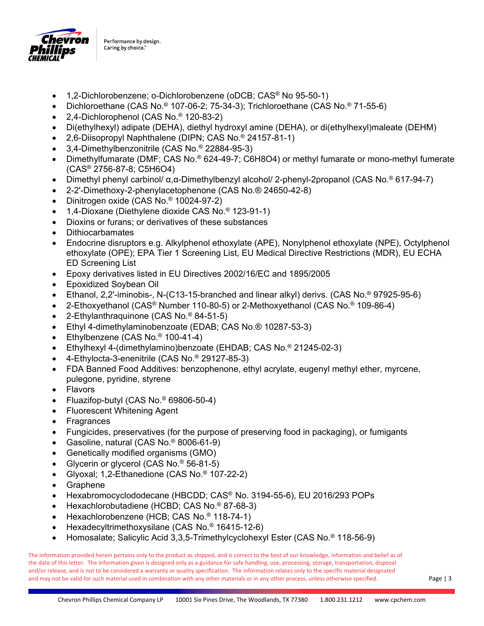

- 1,2-Dichlorobenzene; o-Dichlorobenzene (oDCB; CAS® No 95-50-1)
- Dichloroethane (CAS No.® 107-06-2; 75-34-3); Trichloroethane (CAS No.® 71-55-6)
- 2,4-Dichlorophenol (CAS No.® 120-83-2)
- Di(ethylhexyl) adipate (DEHA), diethyl hydroxyl amine (DEHA), or di(ethylhexyl)maleate (DEHM)
- 2,6-Diisopropyl Naphthalene (DIPN; CAS No.® 24157-81-1)
- 3,4-Dimethylbenzonitrile (CAS No.® 22884-95-3)
- Dimethylfumarate (DMF; CAS No.® 624-49-7; C6H8O4) or methyl fumarate or mono-methyl fumerate (CAS® 2756-87-8; C5H6O4)
- Dimethyl phenyl carbinol/ α,α-Dimethylbenzyl alcohol/ 2-phenyl-2propanol (CAS No.® 617-94-7)
- 2-2'-Dimethoxy-2-phenylacetophenone (CAS No.® 24650-42-8)
- Dinitrogen oxide (CAS No.® 10024-97-2)
- 1,4-Dioxane (Diethylene dioxide CAS No.® 123-91-1)
- Dioxins or furans; or derivatives of these substances
- **Dithiocarbamates**
- Endocrine disruptors e.g. Alkylphenol ethoxylate (APE), Nonylphenol ethoxylate (NPE), Octylphenol ethoxylate (OPE); EPA Tier 1 Screening List, EU Medical Directive Restrictions (MDR), EU ECHA ED Screening List
- Epoxy derivatives listed in EU Directives 2002/16/EC and 1895/2005
- Epoxidized Soybean Oil
- Ethanol, 2,2'-iminobis-, N-(C13-15-branched and linear alkyl) derivs. (CAS No.® 97925-95-6)
- 2-Ethoxyethanol (CAS® Number 110-80-5) or 2-Methoxyethanol (CAS No.® 109-86-4)
- 2-Ethylanthraquinone (CAS No.® 84-51-5)
- Ethyl 4-dimethylaminobenzoate (EDAB; CAS No.® 10287-53-3)
- Ethylbenzene (CAS No.® 100-41-4)
- Ethylhexyl 4-(dimethylamino)benzoate (EHDAB; CAS No.® 21245-02-3)
- 4-Ethylocta-3-enenitrile (CAS No.® 29127-85-3)
- FDA Banned Food Additives: benzophenone, ethyl acrylate, eugenyl methyl ether, myrcene, pulegone, pyridine, styrene
- Flavors
- Fluazifop-butyl (CAS No.® 69806-50-4)
- Fluorescent Whitening Agent
- Fragrances
- Fungicides, preservatives (for the purpose of preserving food in packaging), or fumigants
- Gasoline, natural (CAS No.® 8006-61-9)
- Genetically modified organisms (GMO)
- Glycerin or glycerol (CAS No.® 56-81-5)
- Glyoxal; 1,2-Ethanedione (CAS No.® 107-22-2)
- Graphene
- Hexabromocyclododecane (HBCDD; CAS® No. 3194-55-6), EU 2016/293 POPs
- Hexachlorobutadiene (HCBD; CAS No.<sup>®</sup> 87-68-3)
- Hexachlorobenzene (HCB; CAS No.® 118-74-1)
- Hexadecyltrimethoxysilane (CAS No.® 16415-12-6)
- Homosalate; Salicylic Acid 3,3,5-Trimethylcyclohexyl Ester (CAS No.® 118-56-9)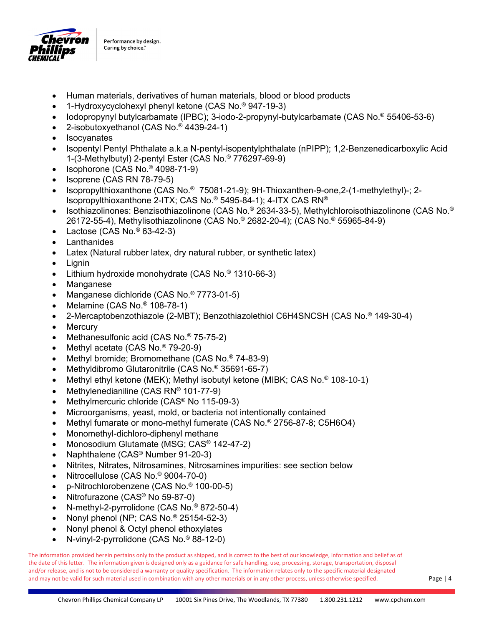

- Human materials, derivatives of human materials, blood or blood products
- 1-Hydroxycyclohexyl phenyl ketone (CAS No.® 947-19-3)
- Iodopropynyl butylcarbamate (IPBC); 3-iodo-2-propynyl-butylcarbamate (CAS No.® 55406-53-6)
- 2-isobutoxyethanol (CAS No.® 4439-24-1)
- Isocyanates
- Isopentyl Pentyl Phthalate a.k.a N-pentyl-isopentylphthalate (nPIPP); 1,2-Benzenedicarboxylic Acid 1-(3-Methylbutyl) 2-pentyl Ester (CAS No.® 776297-69-9)
- Isophorone (CAS No.® 4098-71-9)
- Isoprene (CAS RN 78-79-5)
- Isopropylthioxanthone (CAS No.® 75081-21-9); 9H-Thioxanthen-9-one,2-(1-methylethyl)-; 2- Isopropylthioxanthone 2-ITX; CAS No.® 5495-84-1); 4-ITX CAS RN®
- Isothiazolinones: Benzisothiazolinone (CAS No.® 2634-33-5), Methylchloroisothiazolinone (CAS No.® 26172-55-4), Methylisothiazolinone (CAS No.® 2682-20-4); (CAS No.® 55965-84-9)
- Lactose (CAS No.® 63-42-3)
- **Lanthanides**
- Latex (Natural rubber latex, dry natural rubber, or synthetic latex)
- Lignin
- Lithium hydroxide monohydrate (CAS No.® 1310-66-3)
- Manganese
- Manganese dichloride (CAS No.® 7773-01-5)
- Melamine (CAS No.® 108-78-1)
- 2-Mercaptobenzothiazole (2-MBT); Benzothiazolethiol C6H4SNCSH (CAS No.® 149-30-4)
- **Mercury**
- Methanesulfonic acid (CAS No.® 75-75-2)
- Methyl acetate (CAS No.® 79-20-9)
- Methyl bromide; Bromomethane (CAS No.® 74-83-9)
- Methyldibromo Glutaronitrile (CAS No.® 35691-65-7)
- Methyl ethyl ketone (MEK); Methyl isobutyl ketone (MIBK; CAS No.® 108‐10‐1)
- Methylenedianiline (CAS RN® 101-77-9)
- Methylmercuric chloride (CAS® No 115-09-3)
- Microorganisms, yeast, mold, or bacteria not intentionally contained
- Methyl fumarate or mono-methyl fumerate (CAS No.® 2756-87-8; C5H6O4)
- Monomethyl-dichloro-diphenyl methane
- Monosodium Glutamate (MSG; CAS® 142-47-2)
- Naphthalene (CAS® Number 91-20-3)
- Nitrites, Nitrates, Nitrosamines, Nitrosamines impurities: see section below
- Nitrocellulose (CAS No.® 9004-70-0)
- p-Nitrochlorobenzene (CAS No.® 100-00-5)
- Nitrofurazone (CAS® No 59-87-0)
- N-methyl-2-pyrrolidone (CAS No.® 872-50-4)
- Nonyl phenol (NP; CAS No.® 25154-52-3)
- Nonyl phenol & Octyl phenol ethoxylates
- N-vinyl-2-pyrrolidone (CAS No.® 88-12-0)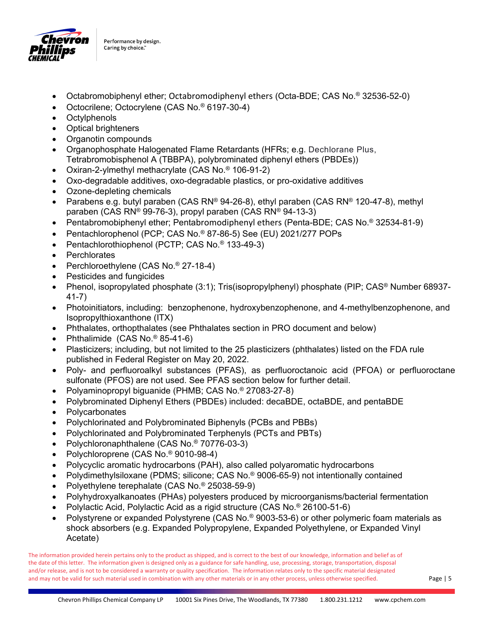

- Octabromobiphenyl ether; Octabromodiphenyl ethers (Octa-BDE; CAS No.® 32536-52-0)
- Octocrilene; Octocrylene (CAS No.® 6197-30-4)
- Octylphenols
- Optical brighteners
- Organotin compounds
- Organophosphate Halogenated Flame Retardants (HFRs; e.g. Dechlorane Plus, Tetrabromobisphenol A (TBBPA), polybrominated diphenyl ethers (PBDEs))
- Oxiran-2-ylmethyl methacrylate (CAS No.® 106-91-2)
- Oxo-degradable additives, oxo-degradable plastics, or pro-oxidative additives
- Ozone-depleting chemicals
- Parabens e.g. butyl paraben (CAS RN® 94-26-8), ethyl paraben (CAS RN® 120-47-8), methyl paraben (CAS RN® 99-76-3), propyl paraben (CAS RN® 94-13-3)
- Pentabromobiphenyl ether; Pentabromodiphenyl ethers (Penta-BDE; CAS No.® 32534-81-9)
- Pentachlorophenol (PCP; CAS No.® 87-86-5) See (EU) 2021/277 POPs
- Pentachlorothiophenol (PCTP; CAS No.® 133-49-3)
- Perchlorates
- Perchloroethylene (CAS No.® 27-18-4)
- Pesticides and fungicides
- Phenol, isopropylated phosphate (3:1); Tris(isopropylphenyl) phosphate (PIP; CAS® Number 68937-41-7)
- Photoinitiators, including: benzophenone, hydroxybenzophenone, and 4-methylbenzophenone, and Isopropylthioxanthone (ITX)
- Phthalates, orthopthalates (see Phthalates section in PRO document and below)
- Phthalimide  $(CAS No.  $85-41-6$ )$
- Plasticizers; including, but not limited to the 25 plasticizers (phthalates) listed on the FDA rule published in Federal Register on May 20, 2022.
- Poly- and perfluoroalkyl substances (PFAS), as perfluoroctanoic acid (PFOA) or perfluoroctane sulfonate (PFOS) are not used. See PFAS section below for further detail.
- Polyaminopropyl biguanide (PHMB; CAS No.® 27083-27-8)
- Polybrominated Diphenyl Ethers (PBDEs) included: decaBDE, octaBDE, and pentaBDE
- **Polycarbonates**
- Polychlorinated and Polybrominated Biphenyls (PCBs and PBBs)
- Polychlorinated and Polybrominated Terphenyls (PCTs and PBTs)
- Polychloronaphthalene (CAS No.® 70776-03-3)
- Polychloroprene (CAS No.® 9010-98-4)
- Polycyclic aromatic hydrocarbons (PAH), also called polyaromatic hydrocarbons
- Polydimethylsiloxane (PDMS; silicone; CAS No.® 9006-65-9) not intentionally contained
- Polyethylene terephalate (CAS No.® 25038-59-9)
- Polyhydroxyalkanoates (PHAs) polyesters produced by microorganisms/bacterial fermentation
- Polylactic Acid, Polylactic Acid as a rigid structure (CAS No.® 26100-51-6)
- Polystyrene or expanded Polystyrene (CAS No.® 9003-53-6) or other polymeric foam materials as shock absorbers (e.g. Expanded Polypropylene, Expanded Polyethylene, or Expanded Vinyl Acetate)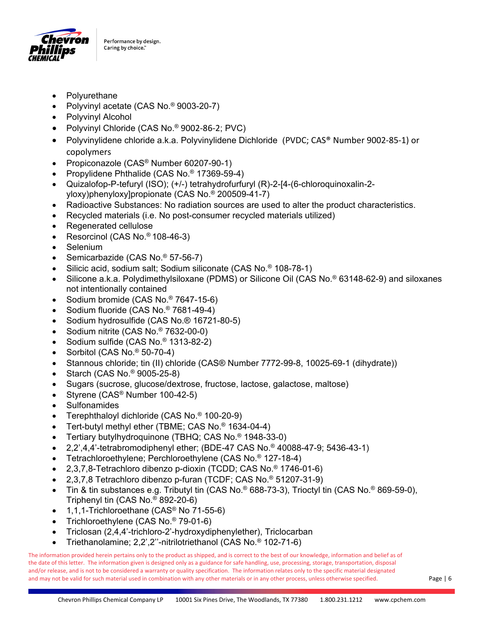

- Polyurethane
- Polyvinyl acetate (CAS No.® 9003-20-7)
- Polyvinyl Alcohol
- Polyvinyl Chloride (CAS No.® 9002‐86‐2; PVC)
- Polyvinylidene chloride a.k.a. Polyvinylidene Dichloride (PVDC; CAS® Number 9002‐85‐1) or copolymers
- Propiconazole (CAS<sup>®</sup> Number 60207-90-1)
- Propylidene Phthalide (CAS No.® 17369-59-4)
- Quizalofop-P-tefuryl (ISO); (+/-) tetrahydrofurfuryl (R)-2-[4-(6-chloroquinoxalin-2 yloxy)phenyloxy]propionate (CAS No.® 200509-41-7)
- Radioactive Substances: No radiation sources are used to alter the product characteristics.
- Recycled materials (i.e. No post-consumer recycled materials utilized)
- Regenerated cellulose
- Resorcinol (CAS No.® 108-46-3)
- Selenium
- Semicarbazide (CAS No.® 57-56-7)
- Silicic acid, sodium salt; Sodium siliconate (CAS No.® 108-78-1)
- Silicone a.k.a. Polydimethylsiloxane (PDMS) or Silicone Oil (CAS No.® 63148-62-9) and siloxanes not intentionally contained
- Sodium bromide (CAS No.® 7647-15-6)
- Sodium fluoride (CAS No.® 7681-49-4)
- Sodium hydrosulfide (CAS No.® 16721-80-5)
- Sodium nitrite (CAS No.® 7632-00-0)
- Sodium sulfide (CAS No.® 1313-82-2)
- Sorbitol (CAS No.® 50-70-4)
- Stannous chloride; tin (II) chloride (CAS® Number 7772-99-8, 10025-69-1 (dihydrate))
- Starch (CAS No.® 9005-25-8)
- Sugars (sucrose, glucose/dextrose, fructose, lactose, galactose, maltose)
- Styrene (CAS® Number 100-42-5)
- Sulfonamides
- Terephthaloyl dichloride (CAS No.® 100-20-9)
- Tert-butyl methyl ether (TBME; CAS No.® 1634-04-4)
- Tertiary butylhydroquinone (TBHQ; CAS No.® 1948-33-0)
- 2,2',4,4'-tetrabromodiphenyl ether; (BDE-47 CAS No.® 40088-47-9; 5436-43-1)
- Tetrachloroethylene; Perchloroethylene (CAS No.® 127-18-4)
- 2,3,7,8-Tetrachloro dibenzo p-dioxin (TCDD; CAS No.® 1746-01-6)
- 2,3,7,8 Tetrachloro dibenzo p-furan (TCDF; CAS No.® 51207-31-9)
- Tin & tin substances e.g. Tributyl tin (CAS No.® 688-73-3), Trioctyl tin (CAS No.® 869-59-0), Triphenyl tin (CAS No.® 892-20-6)
- 1,1,1-Trichloroethane (CAS® No 71-55-6)
- Trichloroethylene (CAS No.® 79-01-6)
- Triclosan (2,4,4'-trichloro-2'-hydroxydiphenylether), Triclocarban
- Triethanolamine; 2,2',2''-nitrilotriethanol (CAS No.® 102-71-6)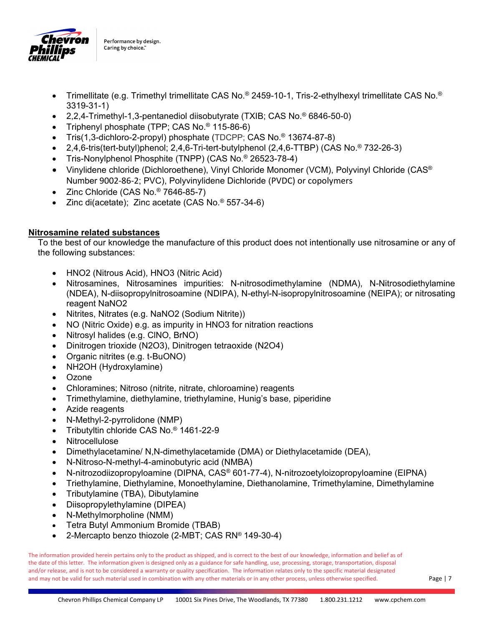

- Trimellitate (e.g. Trimethyl trimellitate CAS No.® 2459-10-1, Tris-2-ethylhexyl trimellitate CAS No.® 3319-31-1)
- 2,2,4-Trimethyl-1,3-pentanediol diisobutyrate (TXIB; CAS No.® 6846-50-0)
- Triphenyl phosphate (TPP; CAS No.® 115-86-6)
- Tris(1,3-dichloro-2-propyl) phosphate (TDCPP; CAS No.® 13674-87-8)
- 2,4,6-tris(tert-butyl)phenol; 2,4,6-Tri-tert-butylphenol (2,4,6-TTBP) (CAS No.® 732-26-3)
- Tris-Nonylphenol Phosphite (TNPP) (CAS No.® 26523-78-4)
- Vinylidene chloride (Dichloroethene), Vinyl Chloride Monomer (VCM), Polyvinyl Chloride (CAS<sup>®</sup> Number 9002‐86‐2; PVC), Polyvinylidene Dichloride (PVDC) or copolymers
- Zinc Chloride (CAS No.<sup>®</sup> 7646-85-7)
- Zinc di(acetate); Zinc acetate (CAS No.<sup>®</sup> 557-34-6)

## **Nitrosamine related substances**

To the best of our knowledge the manufacture of this product does not intentionally use nitrosamine or any of the following substances:

- HNO2 (Nitrous Acid), HNO3 (Nitric Acid)
- Nitrosamines, Nitrosamines impurities: N-nitrosodimethylamine (NDMA), N-Nitrosodiethylamine (NDEA), N-diisopropylnitrosoamine (NDIPA), N-ethyl-N-isopropylnitrosoamine (NEIPA); or nitrosating reagent NaNO2
- Nitrites, Nitrates (e.g. NaNO2 (Sodium Nitrite))
- NO (Nitric Oxide) e.g. as impurity in HNO3 for nitration reactions
- Nitrosyl halides (e.g. ClNO, BrNO)
- Dinitrogen trioxide (N2O3), Dinitrogen tetraoxide (N2O4)
- Organic nitrites (e.g. t-BuONO)
- NH2OH (Hydroxylamine)
- **Ozone**
- Chloramines; Nitroso (nitrite, nitrate, chloroamine) reagents
- Trimethylamine, diethylamine, triethylamine, Hunig's base, piperidine
- Azide reagents
- N-Methyl-2-pyrrolidone (NMP)
- Tributyltin chloride CAS No.® 1461-22-9
- **Nitrocellulose**
- Dimethylacetamine/ N,N-dimethylacetamide (DMA) or Diethylacetamide (DEA),
- N-Nitroso-N-methyl-4-aminobutyric acid (NMBA)
- N-nitrozodiizopropyloamine (DIPNA, CAS® 601-77-4), N-nitrozoetyloizopropyloamine (EIPNA)
- Triethylamine, Diethylamine, Monoethylamine, Diethanolamine, Trimethylamine, Dimethylamine
- Tributylamine (TBA), Dibutylamine
- Diisopropylethylamine (DIPEA)
- N-Methylmorpholine (NMM)
- Tetra Butyl Ammonium Bromide (TBAB)
- 2-Mercapto benzo thiozole (2-MBT; CAS RN® 149-30-4)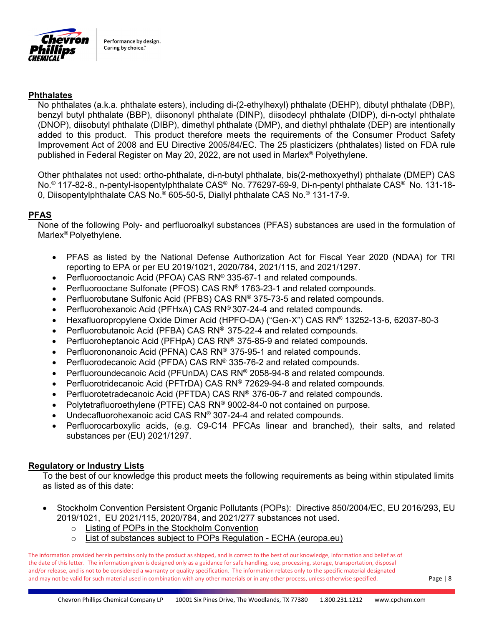

#### **Phthalates**

No phthalates (a.k.a. phthalate esters), including di-(2-ethylhexyl) phthalate (DEHP), dibutyl phthalate (DBP), benzyl butyl phthalate (BBP), diisononyl phthalate (DINP), diisodecyl phthalate (DIDP), di-n-octyl phthalate (DNOP), diisobutyl phthalate (DIBP), dimethyl phthalate (DMP), and diethyl phthalate (DEP) are intentionally added to this product. This product therefore meets the requirements of the Consumer Product Safety Improvement Act of 2008 and EU Directive 2005/84/EC. The 25 plasticizers (phthalates) listed on FDA rule published in Federal Register on May 20, 2022, are not used in Marlex® Polyethylene.

Other phthalates not used: ortho-phthalate, di-n-butyl phthalate, bis(2-methoxyethyl) phthalate (DMEP) CAS No.® 117-82-8., n-pentyl-isopentylphthalate CAS® No. 776297-69-9, Di-n-pentyl phthalate CAS® No. 131-18- 0, Diisopentylphthalate CAS No.® 605-50-5, Diallyl phthalate CAS No.® 131-17-9.

#### **PFAS**

None of the following Poly- and perfluoroalkyl substances (PFAS) substances are used in the formulation of Marlex® Polyethylene.

- PFAS as listed by the National Defense Authorization Act for Fiscal Year 2020 (NDAA) for TRI reporting to EPA or per EU 2019/1021, 2020/784, 2021/115, and 2021/1297.
- Perfluorooctanoic Acid (PFOA) CAS RN® 335-67-1 and related compounds.
- Perfluorooctane Sulfonate (PFOS) CAS RN® 1763-23-1 and related compounds.
- Perfluorobutane Sulfonic Acid (PFBS) CAS RN® 375-73-5 and related compounds.
- Perfluorohexanoic Acid (PFHxA) CAS RN® 307-24-4 and related compounds.
- Hexafluoropropylene Oxide Dimer Acid (HPFO-DA) ("Gen-X") CAS RN® 13252-13-6, 62037-80-3
- Perfluorobutanoic Acid (PFBA) CAS RN® 375-22-4 and related compounds.
- Perfluoroheptanoic Acid (PFHpA) CAS RN® 375-85-9 and related compounds.
- Perfluorononanoic Acid (PFNA) CAS RN® 375-95-1 and related compounds.
- Perfluorodecanoic Acid (PFDA) CAS RN® 335-76-2 and related compounds.
- Perfluoroundecanoic Acid (PFUnDA) CAS RN® 2058-94-8 and related compounds.
- Perfluorotridecanoic Acid (PFTrDA) CAS RN® 72629-94-8 and related compounds.
- Perfluorotetradecanoic Acid (PFTDA) CAS RN® 376-06-7 and related compounds.
- Polytetrafluoroethylene (PTFE) CAS RN® 9002-84-0 not contained on purpose.
- Undecafluorohexanoic acid CAS RN® 307-24-4 and related compounds.
- Perfluorocarboxylic acids, (e.g. C9-C14 PFCAs linear and branched), their salts, and related substances per (EU) 2021/1297.

#### **Regulatory or Industry Lists**

To the best of our knowledge this product meets the following requirements as being within stipulated limits as listed as of this date:

- Stockholm Convention Persistent Organic Pollutants (POPs): Directive 850/2004/EC, EU 2016/293, EU 2019/1021, EU 2021/115, 2020/784, and 2021/277 substances not used.
	- o Listing of POPs in the Stockholm Convention
	- o List of substances subject to POPs Regulation ECHA (europa.eu)